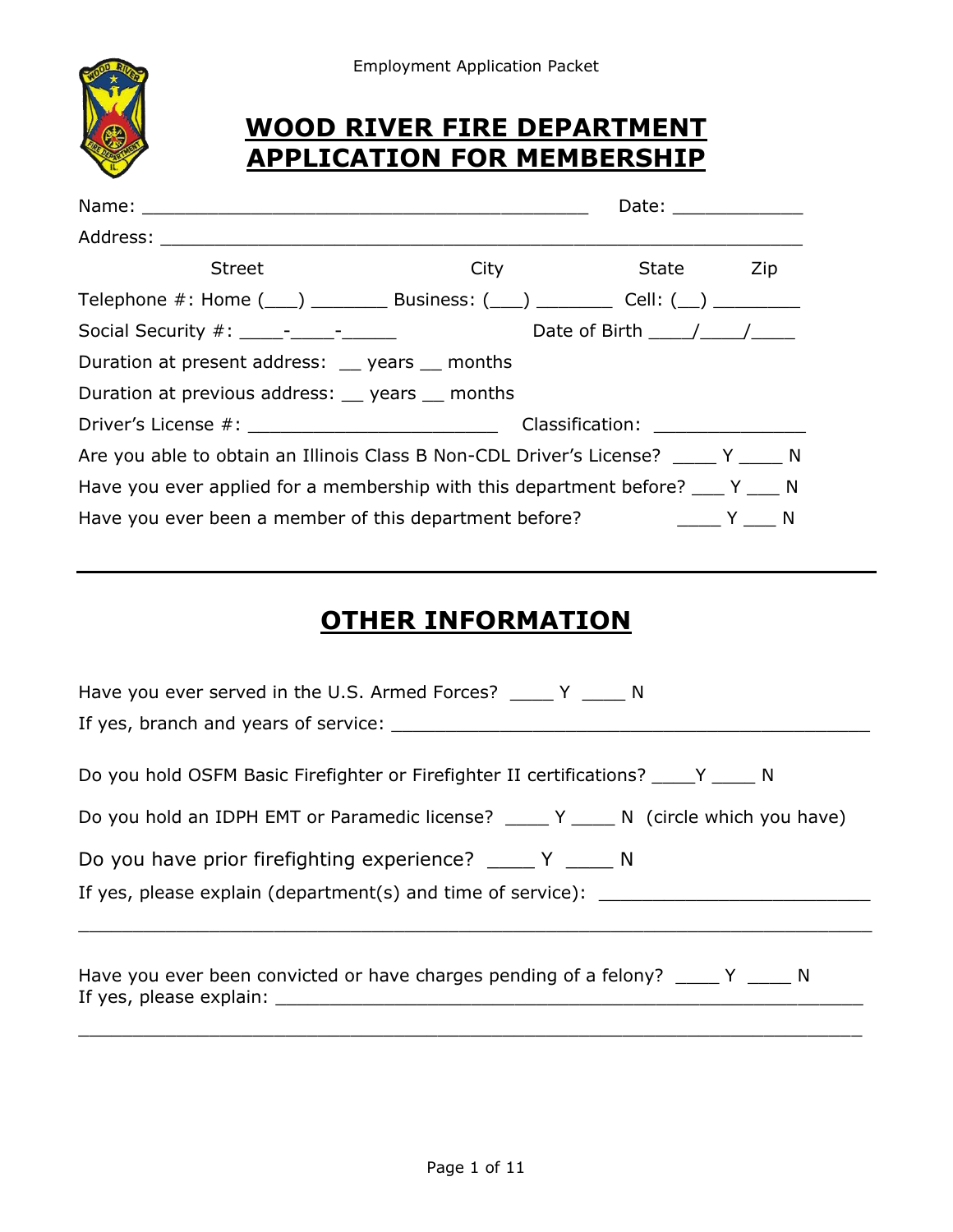



### **WOOD RIVER FIRE DEPARTMENT APPLICATION FOR MEMBERSHIP**

|                                                                                                                 |      | Date: _______________              |     |  |  |
|-----------------------------------------------------------------------------------------------------------------|------|------------------------------------|-----|--|--|
|                                                                                                                 |      |                                    |     |  |  |
| <b>Street</b>                                                                                                   | City | <b>State</b>                       | Zip |  |  |
|                                                                                                                 |      |                                    |     |  |  |
| Social Security #: 1000 - 1000 - 1000 - 1000 - 1000 - 1000 - 1000 - 1000 - 1000 - 1000 - 1000 - 1000 - 1000 - 1 |      | Date of Birth $\frac{1}{\sqrt{2}}$ |     |  |  |
| Duration at present address: years months                                                                       |      |                                    |     |  |  |
| Duration at previous address: years months                                                                      |      |                                    |     |  |  |
|                                                                                                                 |      |                                    |     |  |  |
| Are you able to obtain an Illinois Class B Non-CDL Driver's License? _____ Y _____ N                            |      |                                    |     |  |  |
| Have you ever applied for a membership with this department before? ___ Y ___ N                                 |      |                                    |     |  |  |
| Have you ever been a member of this department before? The Contract Manuson Manuson Number                      |      |                                    |     |  |  |

## **OTHER INFORMATION**

| Have you ever served in the U.S. Armed Forces? _____ Y _____ N                                                                                                                                        |  |  |  |  |  |
|-------------------------------------------------------------------------------------------------------------------------------------------------------------------------------------------------------|--|--|--|--|--|
|                                                                                                                                                                                                       |  |  |  |  |  |
|                                                                                                                                                                                                       |  |  |  |  |  |
| Do you hold OSFM Basic Firefighter or Firefighter II certifications? Y N                                                                                                                              |  |  |  |  |  |
| Do you hold an IDPH EMT or Paramedic license? _____ Y _____ N (circle which you have)                                                                                                                 |  |  |  |  |  |
| Do you have prior firefighting experience? _____ Y _____ N                                                                                                                                            |  |  |  |  |  |
| If yes, please explain (department(s) and time of service):                                                                                                                                           |  |  |  |  |  |
|                                                                                                                                                                                                       |  |  |  |  |  |
| Have you ever been convicted or have charges pending of a felony? ______ Y ______ N<br>If yes, please explain: The same state of the state of the state of the state of the state of the state of the |  |  |  |  |  |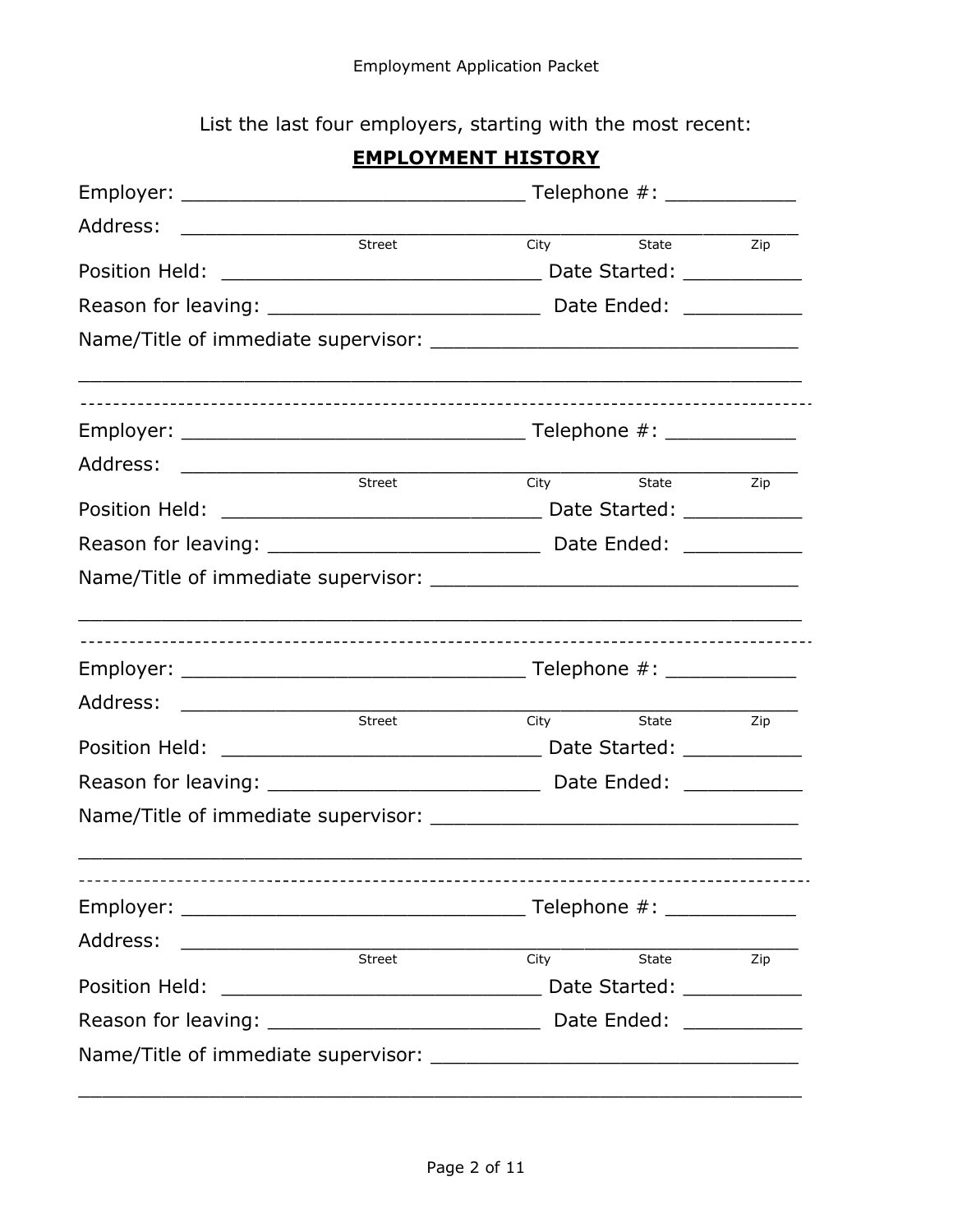List the last four employers, starting with the most recent:

### **EMPLOYMENT HISTORY**

|                                                                                                                                                                                                                                            | Telephone #: ______________ |                |  |  |
|--------------------------------------------------------------------------------------------------------------------------------------------------------------------------------------------------------------------------------------------|-----------------------------|----------------|--|--|
| Address:                                                                                                                                                                                                                                   |                             |                |  |  |
| Street                                                                                                                                                                                                                                     |                             | City State Zip |  |  |
|                                                                                                                                                                                                                                            |                             |                |  |  |
|                                                                                                                                                                                                                                            |                             |                |  |  |
| ,我们也不能在这里的人,我们也不能在这里的人,我们也不能在这里的人,我们也不能在这里的人,我们也不能在这里的人,我们也不能在这里的人,我们也不能在这里的人,我们也                                                                                                                                                          |                             |                |  |  |
|                                                                                                                                                                                                                                            |                             |                |  |  |
|                                                                                                                                                                                                                                            |                             |                |  |  |
| Street                                                                                                                                                                                                                                     |                             | City State Zip |  |  |
|                                                                                                                                                                                                                                            |                             |                |  |  |
|                                                                                                                                                                                                                                            |                             |                |  |  |
|                                                                                                                                                                                                                                            |                             |                |  |  |
|                                                                                                                                                                                                                                            |                             |                |  |  |
| Address: ______________________                                                                                                                                                                                                            |                             |                |  |  |
| Street                                                                                                                                                                                                                                     | City                        | State Zip      |  |  |
|                                                                                                                                                                                                                                            |                             |                |  |  |
|                                                                                                                                                                                                                                            |                             |                |  |  |
|                                                                                                                                                                                                                                            |                             |                |  |  |
|                                                                                                                                                                                                                                            |                             |                |  |  |
| Address:<br>and the street of the City of the Street City of the City of the Street City of the Street of the Street of the Street of the Street of the Street of the Street of the Street of the Street of the Street of the Street of th |                             |                |  |  |
|                                                                                                                                                                                                                                            |                             | City State Zip |  |  |
|                                                                                                                                                                                                                                            |                             |                |  |  |
|                                                                                                                                                                                                                                            |                             |                |  |  |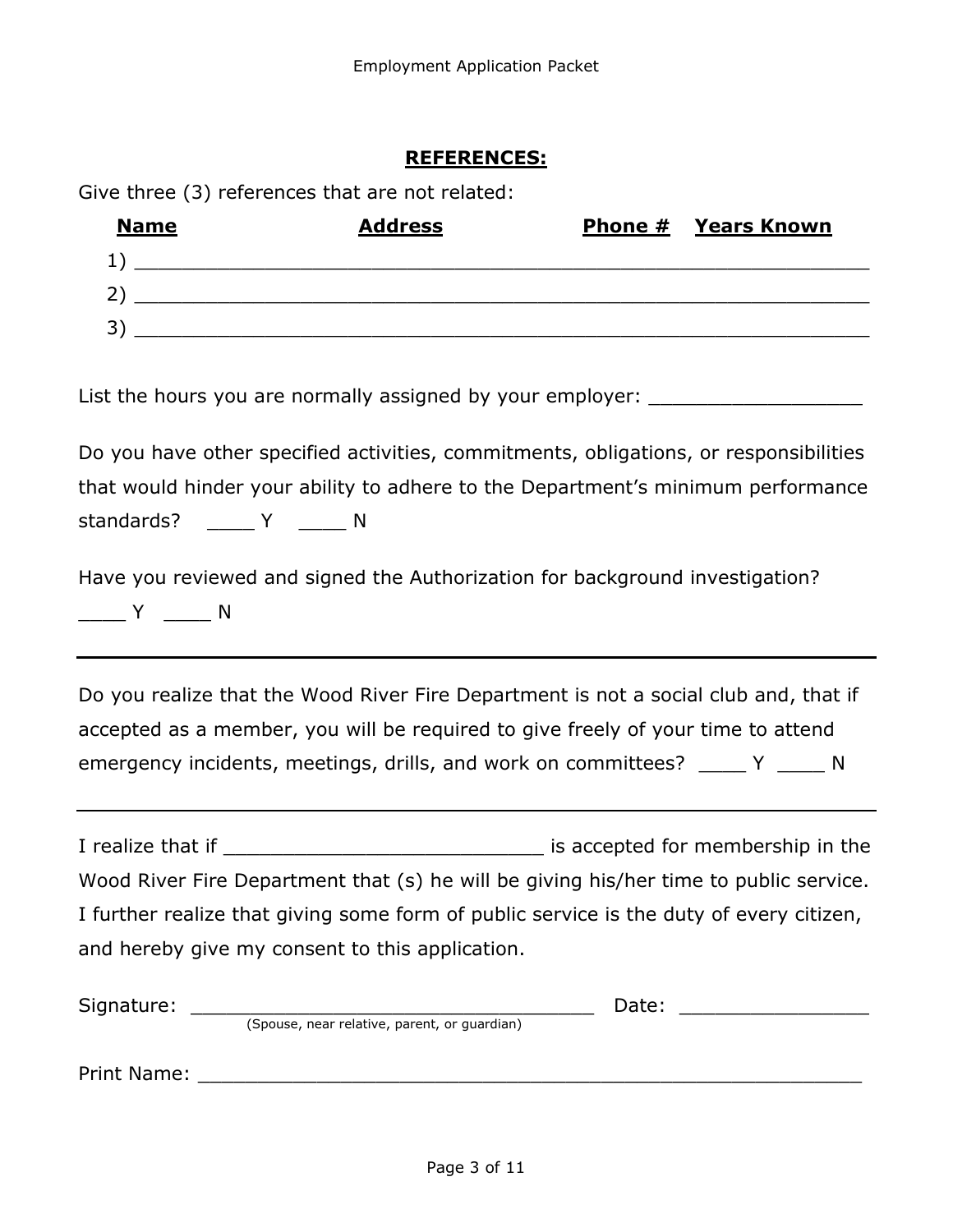### **REFERENCES:**

Give three (3) references that are not related:

| <b>Name</b> | <b>Address</b> | <b>Phone # Years Known</b> |
|-------------|----------------|----------------------------|
|             |                |                            |
|             |                |                            |
|             |                |                            |

List the hours you are normally assigned by your employer:

Do you have other specified activities, commitments, obligations, or responsibilities that would hinder your ability to adhere to the Department's minimum performance standards? Y N

Have you reviewed and signed the Authorization for background investigation?  $\begin{array}{ccc} & \mathsf{Y} & \mathsf{Y} \end{array}$ 

Do you realize that the Wood River Fire Department is not a social club and, that if accepted as a member, you will be required to give freely of your time to attend emergency incidents, meetings, drills, and work on committees? \_\_\_\_\_ Y \_\_\_\_\_ N

I realize that if **I** realize that if  $\blacksquare$ Wood River Fire Department that (s) he will be giving his/her time to public service. I further realize that giving some form of public service is the duty of every citizen, and hereby give my consent to this application.

| Signature:  |                                              | Date: |  |
|-------------|----------------------------------------------|-------|--|
|             | (Spouse, near relative, parent, or guardian) |       |  |
|             |                                              |       |  |
| Print Name: |                                              |       |  |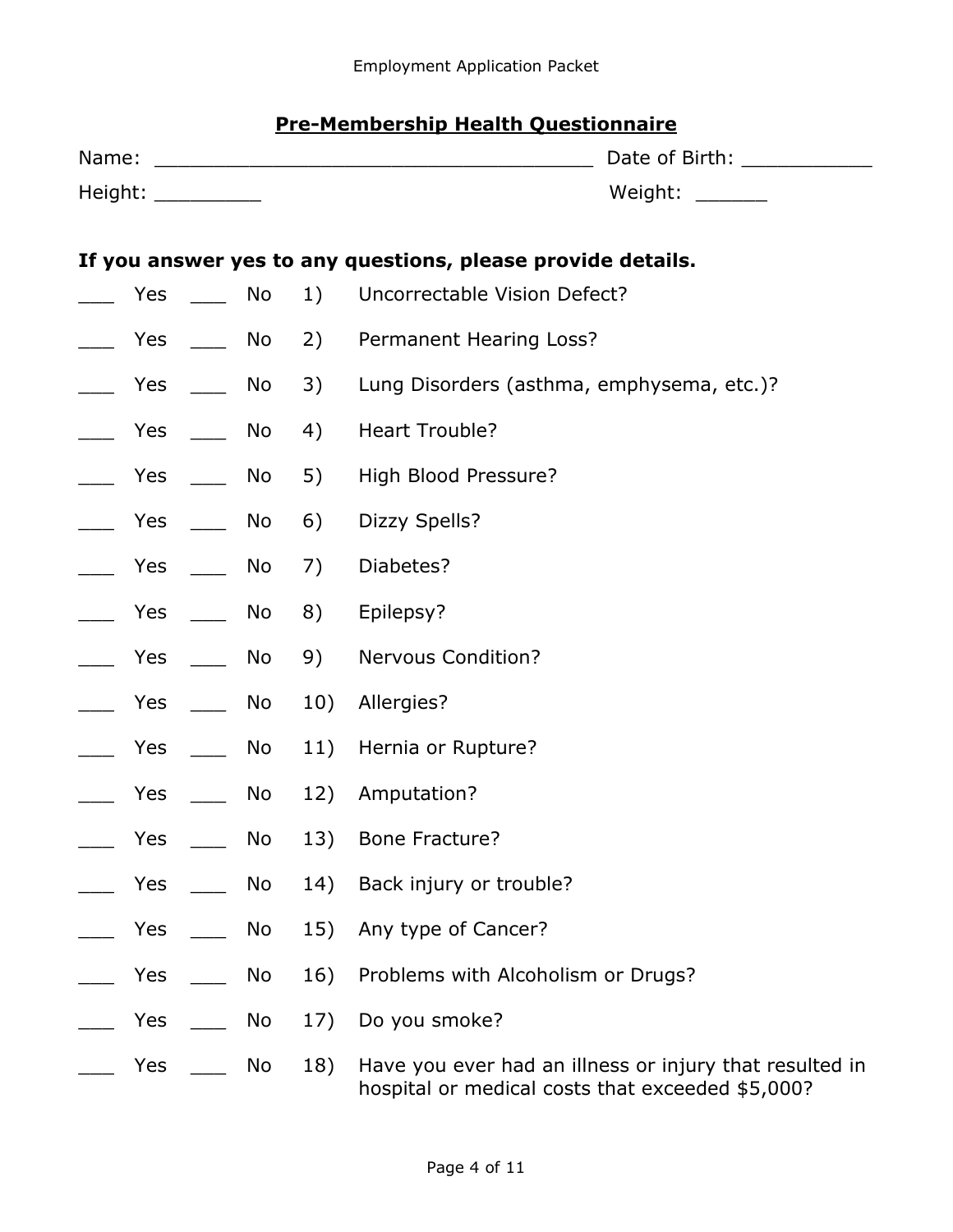### **Pre-Membership Health Questionnaire**

| Name: |                          |    |     |                                                                                                             |
|-------|--------------------------|----|-----|-------------------------------------------------------------------------------------------------------------|
|       | Height: ___________      |    |     | Weight: $\frac{1}{2}$                                                                                       |
|       |                          |    |     |                                                                                                             |
|       |                          |    |     | If you answer yes to any questions, please provide details.                                                 |
|       | Yes                      | No | 1)  | Uncorrectable Vision Defect?                                                                                |
|       | Yes                      | No | 2)  | Permanent Hearing Loss?                                                                                     |
|       | Yes $\rule{1em}{0.15mm}$ | No | 3)  | Lung Disorders (asthma, emphysema, etc.)?                                                                   |
|       | Yes $\rule{1em}{0.15mm}$ | No | 4)  | <b>Heart Trouble?</b>                                                                                       |
|       | Yes $\rule{1em}{0.15mm}$ | No | 5)  | High Blood Pressure?                                                                                        |
|       | Yes $\_\_$               | No | 6)  | Dizzy Spells?                                                                                               |
|       | Yes $\_\_$               | No | 7)  | Diabetes?                                                                                                   |
|       | Yes                      | No | 8)  | Epilepsy?                                                                                                   |
|       | Yes                      | No | 9)  | <b>Nervous Condition?</b>                                                                                   |
|       | Yes                      | No | 10) | Allergies?                                                                                                  |
|       | <b>Yes</b>               | No | 11) | Hernia or Rupture?                                                                                          |
|       | Yes                      | No | 12) | Amputation?                                                                                                 |
|       | Yes                      | No | 13) | <b>Bone Fracture?</b>                                                                                       |
|       | Yes                      | No | 14) | Back injury or trouble?                                                                                     |
|       | Yes                      | No | 15) | Any type of Cancer?                                                                                         |
|       | Yes                      | No | 16) | Problems with Alcoholism or Drugs?                                                                          |
|       | Yes                      | No | 17) | Do you smoke?                                                                                               |
|       | Yes                      | No | 18) | Have you ever had an illness or injury that resulted in<br>hospital or medical costs that exceeded \$5,000? |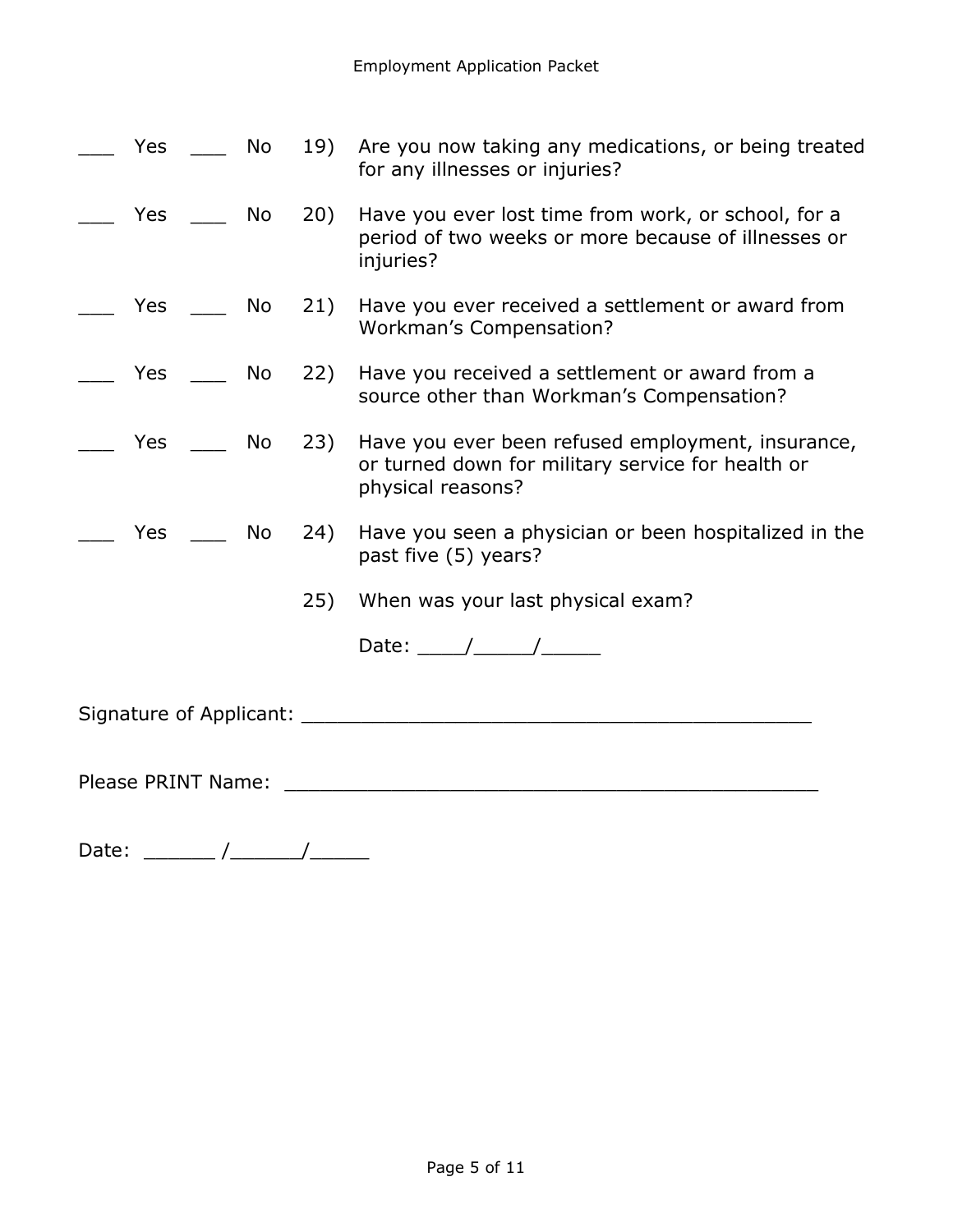|                    | Yes                                                                                                                                                                                                                             | No l |     | 19) Are you now taking any medications, or being treated<br>for any illnesses or injuries?                                      |
|--------------------|---------------------------------------------------------------------------------------------------------------------------------------------------------------------------------------------------------------------------------|------|-----|---------------------------------------------------------------------------------------------------------------------------------|
|                    | Yes No                                                                                                                                                                                                                          |      | 20) | Have you ever lost time from work, or school, for a<br>period of two weeks or more because of illnesses or<br>injuries?         |
|                    | Yes No                                                                                                                                                                                                                          |      | 21) | Have you ever received a settlement or award from<br>Workman's Compensation?                                                    |
|                    | Yes and the results of the results of the results of the results of the results of the results of the results of the results of the results of the results of the results of the results of the results of the results of the r | No   |     | 22) Have you received a settlement or award from a<br>source other than Workman's Compensation?                                 |
|                    | Yes                                                                                                                                                                                                                             | No   |     | 23) Have you ever been refused employment, insurance,<br>or turned down for military service for health or<br>physical reasons? |
|                    | Yes                                                                                                                                                                                                                             | No   | 24) | Have you seen a physician or been hospitalized in the<br>past five (5) years?                                                   |
|                    |                                                                                                                                                                                                                                 |      | 25) | When was your last physical exam?                                                                                               |
|                    |                                                                                                                                                                                                                                 |      |     | Date: $\frac{1}{\sqrt{1-\frac{1}{2}}}\frac{1}{\sqrt{1-\frac{1}{2}}\sqrt{1-\frac{1}{2}}\sqrt{1-\frac{1}{2}}\sqrt{1-\frac{1}{2}}$ |
|                    |                                                                                                                                                                                                                                 |      |     |                                                                                                                                 |
| Please PRINT Name: |                                                                                                                                                                                                                                 |      |     |                                                                                                                                 |

Date: \_\_\_\_\_\_ /\_\_\_\_\_\_/\_\_\_\_\_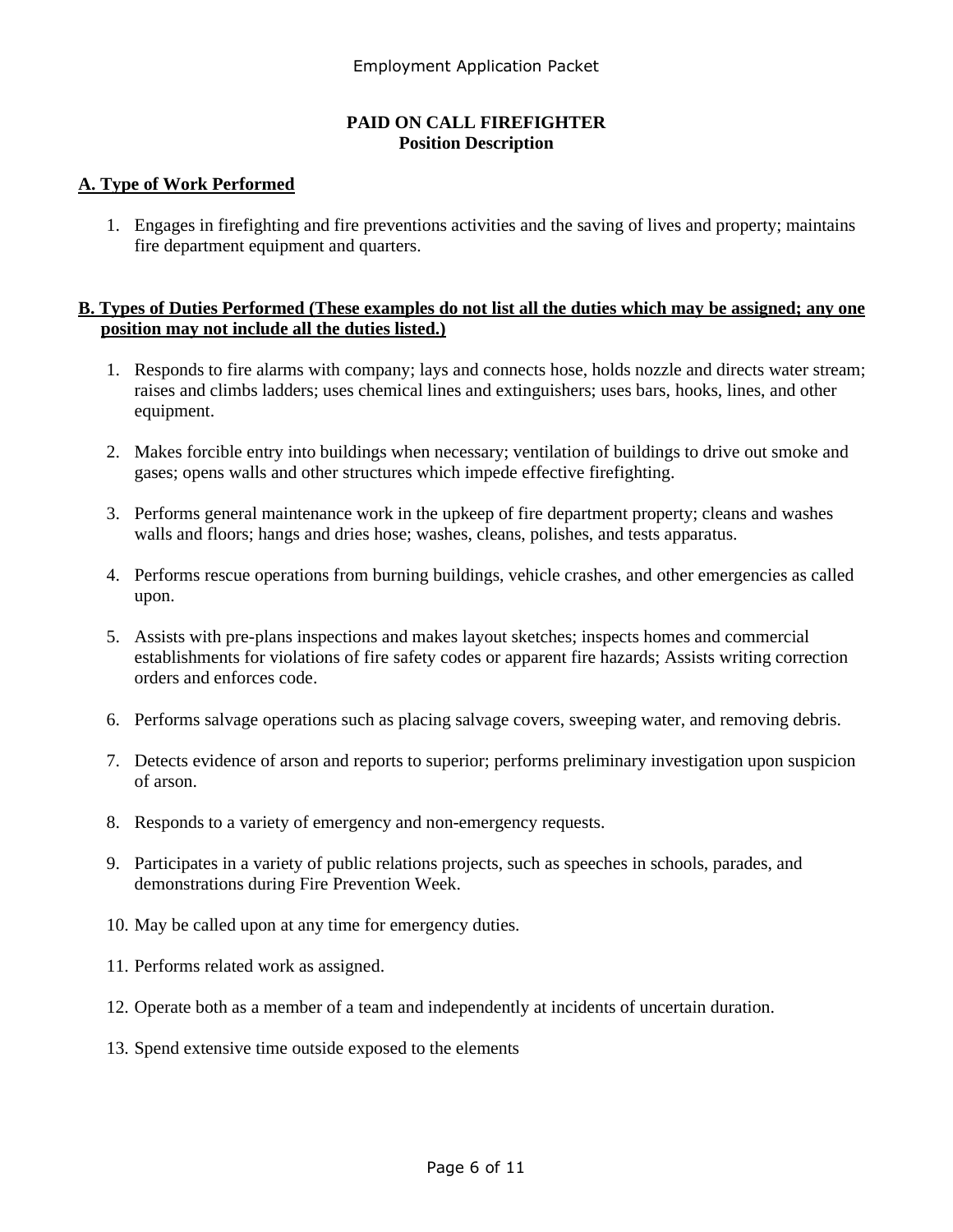#### **PAID ON CALL FIREFIGHTER Position Description**

#### **A. Type of Work Performed**

1. Engages in firefighting and fire preventions activities and the saving of lives and property; maintains fire department equipment and quarters.

#### **B. Types of Duties Performed (These examples do not list all the duties which may be assigned; any one position may not include all the duties listed.)**

- 1. Responds to fire alarms with company; lays and connects hose, holds nozzle and directs water stream; raises and climbs ladders; uses chemical lines and extinguishers; uses bars, hooks, lines, and other equipment.
- 2. Makes forcible entry into buildings when necessary; ventilation of buildings to drive out smoke and gases; opens walls and other structures which impede effective firefighting.
- 3. Performs general maintenance work in the upkeep of fire department property; cleans and washes walls and floors; hangs and dries hose; washes, cleans, polishes, and tests apparatus.
- 4. Performs rescue operations from burning buildings, vehicle crashes, and other emergencies as called upon.
- 5. Assists with pre-plans inspections and makes layout sketches; inspects homes and commercial establishments for violations of fire safety codes or apparent fire hazards; Assists writing correction orders and enforces code.
- 6. Performs salvage operations such as placing salvage covers, sweeping water, and removing debris.
- 7. Detects evidence of arson and reports to superior; performs preliminary investigation upon suspicion of arson.
- 8. Responds to a variety of emergency and non-emergency requests.
- 9. Participates in a variety of public relations projects, such as speeches in schools, parades, and demonstrations during Fire Prevention Week.
- 10. May be called upon at any time for emergency duties.
- 11. Performs related work as assigned.
- 12. Operate both as a member of a team and independently at incidents of uncertain duration.
- 13. Spend extensive time outside exposed to the elements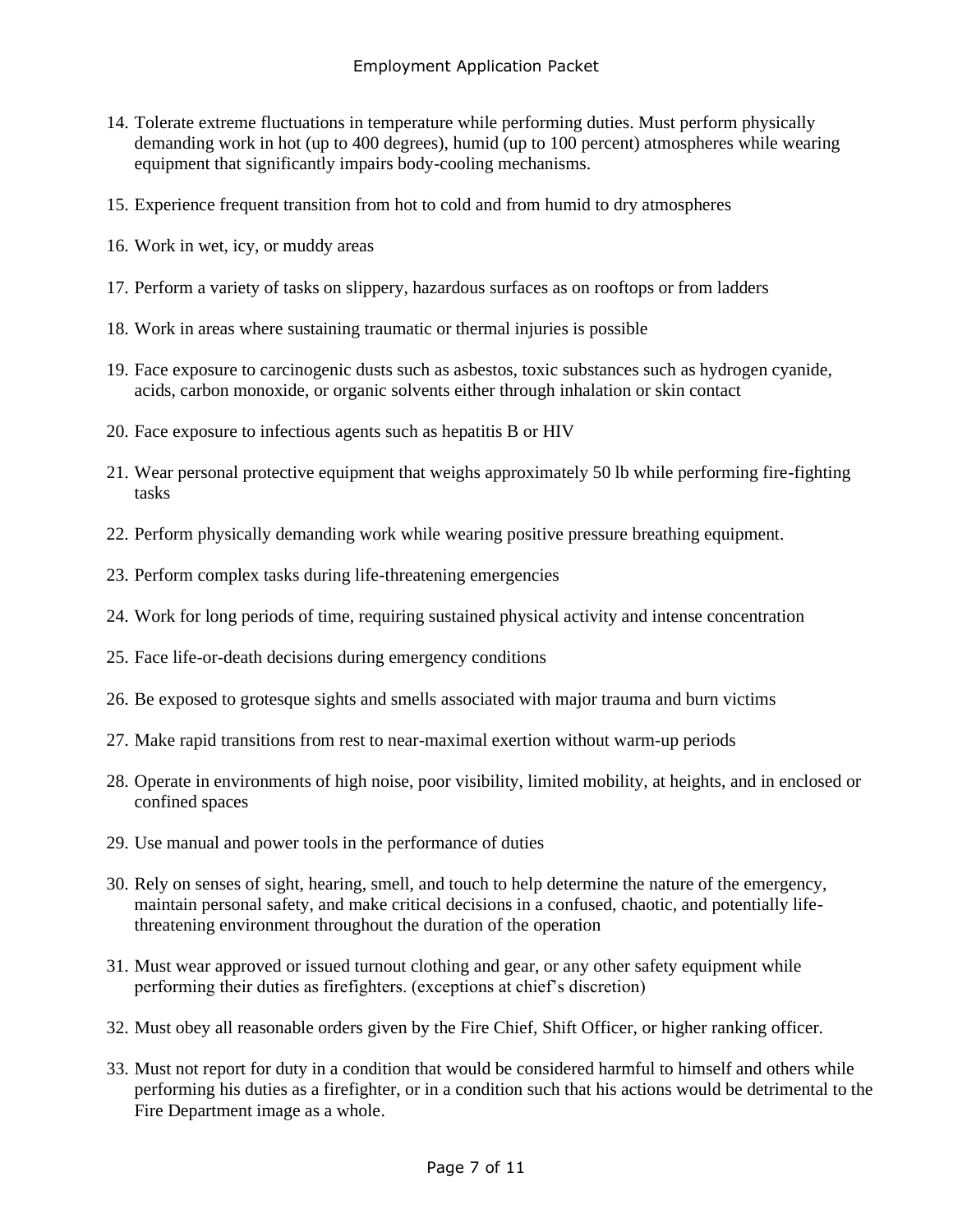- 14. Tolerate extreme fluctuations in temperature while performing duties. Must perform physically demanding work in hot (up to 400 degrees), humid (up to 100 percent) atmospheres while wearing equipment that significantly impairs body-cooling mechanisms.
- 15. Experience frequent transition from hot to cold and from humid to dry atmospheres
- 16. Work in wet, icy, or muddy areas
- 17. Perform a variety of tasks on slippery, hazardous surfaces as on rooftops or from ladders
- 18. Work in areas where sustaining traumatic or thermal injuries is possible
- 19. Face exposure to carcinogenic dusts such as asbestos, toxic substances such as hydrogen cyanide, acids, carbon monoxide, or organic solvents either through inhalation or skin contact
- 20. Face exposure to infectious agents such as hepatitis B or HIV
- 21. Wear personal protective equipment that weighs approximately 50 lb while performing fire-fighting tasks
- 22. Perform physically demanding work while wearing positive pressure breathing equipment.
- 23. Perform complex tasks during life-threatening emergencies
- 24. Work for long periods of time, requiring sustained physical activity and intense concentration
- 25. Face life-or-death decisions during emergency conditions
- 26. Be exposed to grotesque sights and smells associated with major trauma and burn victims
- 27. Make rapid transitions from rest to near-maximal exertion without warm-up periods
- 28. Operate in environments of high noise, poor visibility, limited mobility, at heights, and in enclosed or confined spaces
- 29. Use manual and power tools in the performance of duties
- 30. Rely on senses of sight, hearing, smell, and touch to help determine the nature of the emergency, maintain personal safety, and make critical decisions in a confused, chaotic, and potentially lifethreatening environment throughout the duration of the operation
- 31. Must wear approved or issued turnout clothing and gear, or any other safety equipment while performing their duties as firefighters. (exceptions at chief's discretion)
- 32. Must obey all reasonable orders given by the Fire Chief, Shift Officer, or higher ranking officer.
- 33. Must not report for duty in a condition that would be considered harmful to himself and others while performing his duties as a firefighter, or in a condition such that his actions would be detrimental to the Fire Department image as a whole.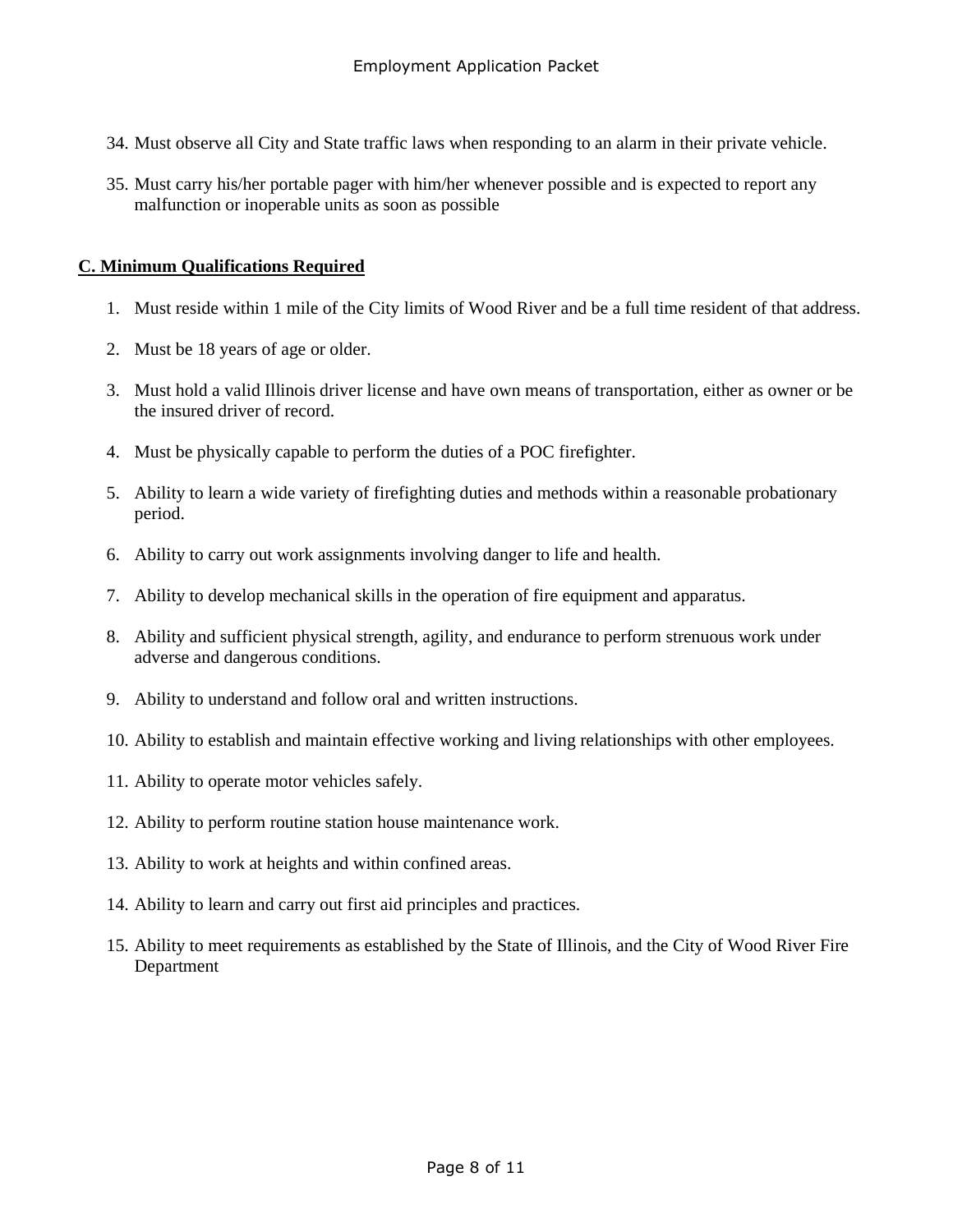- 34. Must observe all City and State traffic laws when responding to an alarm in their private vehicle.
- 35. Must carry his/her portable pager with him/her whenever possible and is expected to report any malfunction or inoperable units as soon as possible

#### **C. Minimum Qualifications Required**

- 1. Must reside within 1 mile of the City limits of Wood River and be a full time resident of that address.
- 2. Must be 18 years of age or older.
- 3. Must hold a valid Illinois driver license and have own means of transportation, either as owner or be the insured driver of record.
- 4. Must be physically capable to perform the duties of a POC firefighter.
- 5. Ability to learn a wide variety of firefighting duties and methods within a reasonable probationary period.
- 6. Ability to carry out work assignments involving danger to life and health.
- 7. Ability to develop mechanical skills in the operation of fire equipment and apparatus.
- 8. Ability and sufficient physical strength, agility, and endurance to perform strenuous work under adverse and dangerous conditions.
- 9. Ability to understand and follow oral and written instructions.
- 10. Ability to establish and maintain effective working and living relationships with other employees.
- 11. Ability to operate motor vehicles safely.
- 12. Ability to perform routine station house maintenance work.
- 13. Ability to work at heights and within confined areas.
- 14. Ability to learn and carry out first aid principles and practices.
- 15. Ability to meet requirements as established by the State of Illinois, and the City of Wood River Fire Department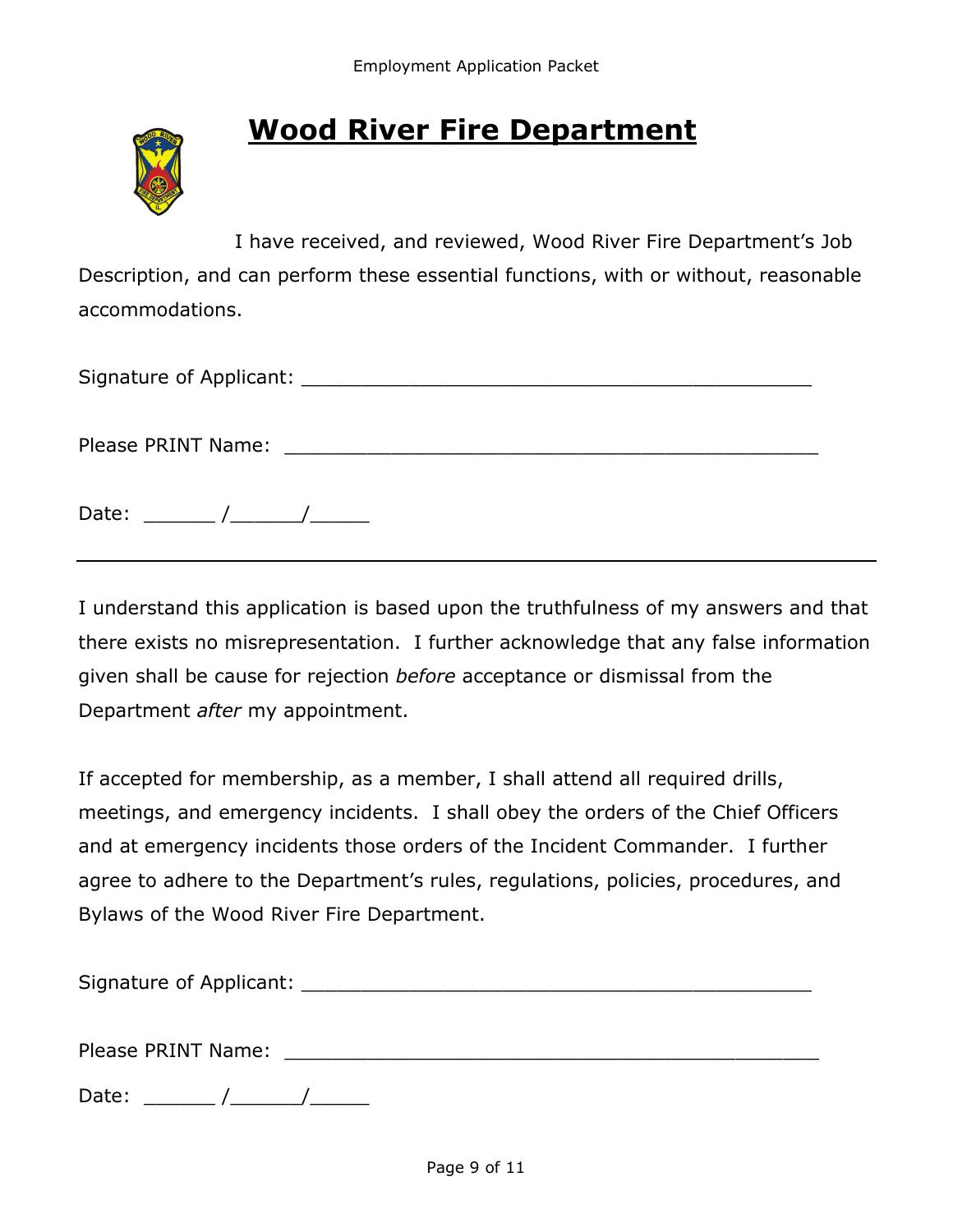

# **Wood River Fire Department**

I have received, and reviewed, Wood River Fire Department's Job Description, and can perform these essential functions, with or without, reasonable accommodations.

Signature of Applicant: <u>Lateral and the set of the set of the set of the set of the set of the set of the set o</u>

Please PRINT Name: \_\_\_\_\_\_\_\_\_\_\_\_\_\_\_\_\_\_\_\_\_\_\_\_\_\_\_\_\_\_\_\_\_\_\_\_\_\_\_\_\_\_\_\_\_

Date:  $\frac{1}{\sqrt{1-\frac{1}{2}}}\frac{1}{\sqrt{1-\frac{1}{2}}}\frac{1}{\sqrt{1-\frac{1}{2}}}\frac{1}{\sqrt{1-\frac{1}{2}}}\frac{1}{\sqrt{1-\frac{1}{2}}}\frac{1}{\sqrt{1-\frac{1}{2}}}\frac{1}{\sqrt{1-\frac{1}{2}}}\frac{1}{\sqrt{1-\frac{1}{2}}}\frac{1}{\sqrt{1-\frac{1}{2}}}\frac{1}{\sqrt{1-\frac{1}{2}}}\frac{1}{\sqrt{1-\frac{1}{2}}}\frac{1}{\sqrt{1-\frac{1}{2}}}\frac{1}{\sqrt{1-\frac{1}{2}}}\frac{1}{\$ 

I understand this application is based upon the truthfulness of my answers and that there exists no misrepresentation. I further acknowledge that any false information given shall be cause for rejection *before* acceptance or dismissal from the Department *after* my appointment.

If accepted for membership, as a member, I shall attend all required drills, meetings, and emergency incidents. I shall obey the orders of the Chief Officers and at emergency incidents those orders of the Incident Commander. I further agree to adhere to the Department's rules, regulations, policies, procedures, and Bylaws of the Wood River Fire Department.

| Signature of Applicant: |  |
|-------------------------|--|
|                         |  |

Please PRINT Name: \_\_\_\_\_\_\_\_\_\_\_\_\_\_\_\_\_\_\_\_\_\_\_\_\_\_\_\_\_\_\_\_\_\_\_\_\_\_\_\_\_\_\_\_\_

Date:  $\frac{\sqrt{2\pi}}{2\pi}$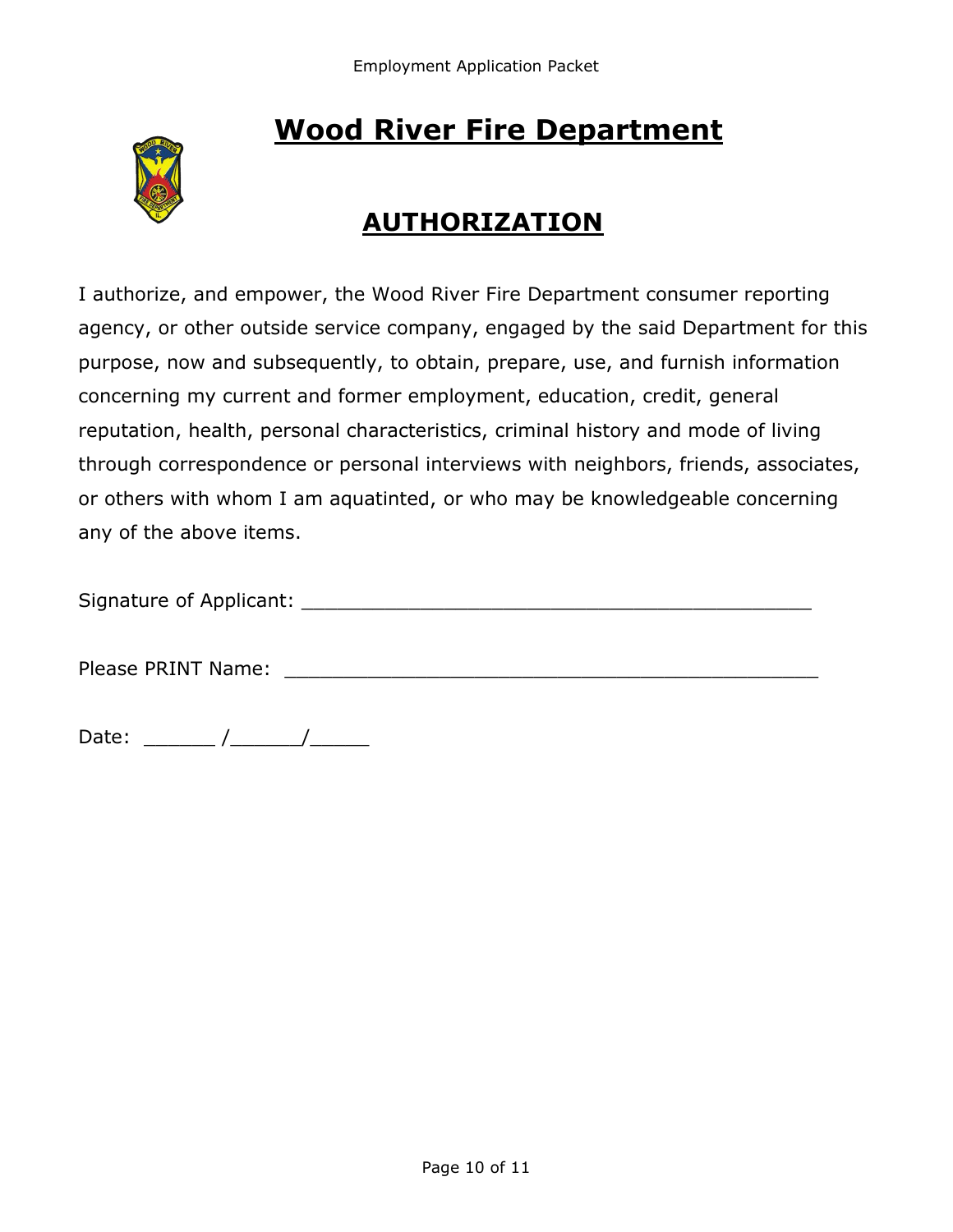# **Wood River Fire Department**



## **AUTHORIZATION**

I authorize, and empower, the Wood River Fire Department consumer reporting agency, or other outside service company, engaged by the said Department for this purpose, now and subsequently, to obtain, prepare, use, and furnish information concerning my current and former employment, education, credit, general reputation, health, personal characteristics, criminal history and mode of living through correspondence or personal interviews with neighbors, friends, associates, or others with whom I am aquatinted, or who may be knowledgeable concerning any of the above items.

| Signature of Applicant: |  |
|-------------------------|--|
|                         |  |

Please PRINT Name: **Example 2018** 

Date: \_\_\_\_\_\_ /\_\_\_\_\_\_/\_\_\_\_\_